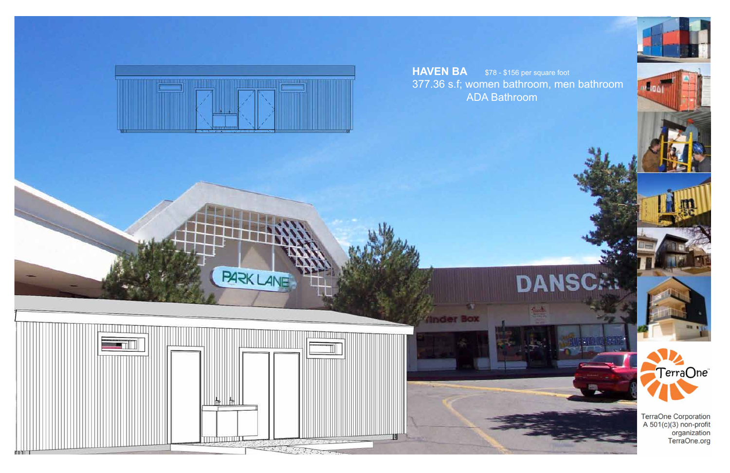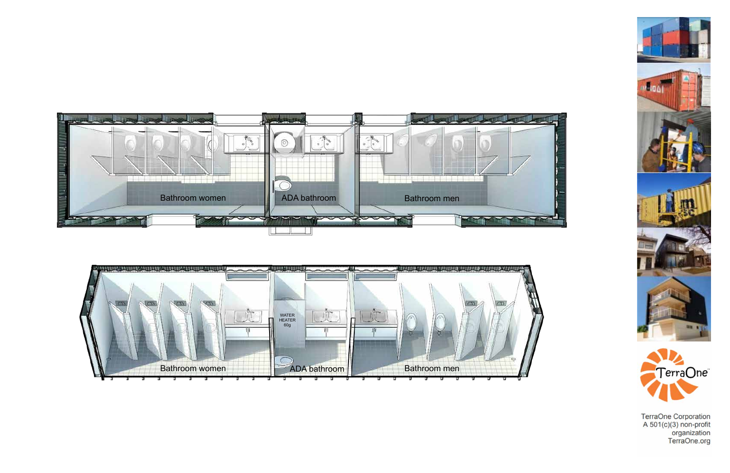











TerraOne Corporation<br>A 501(c)(3) non-profit<br>organization<br>TerraOne.org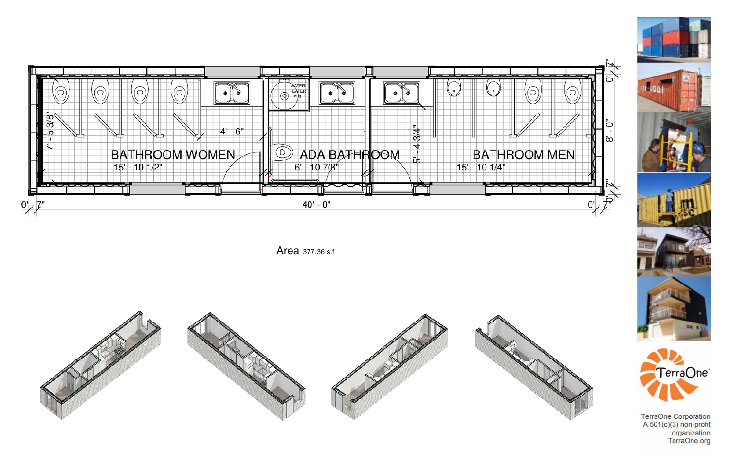

Area 377.36 s.f







TerraOne Corporation<br>A 501(c)(3) non-profit<br>organization<br>TerraOne.org